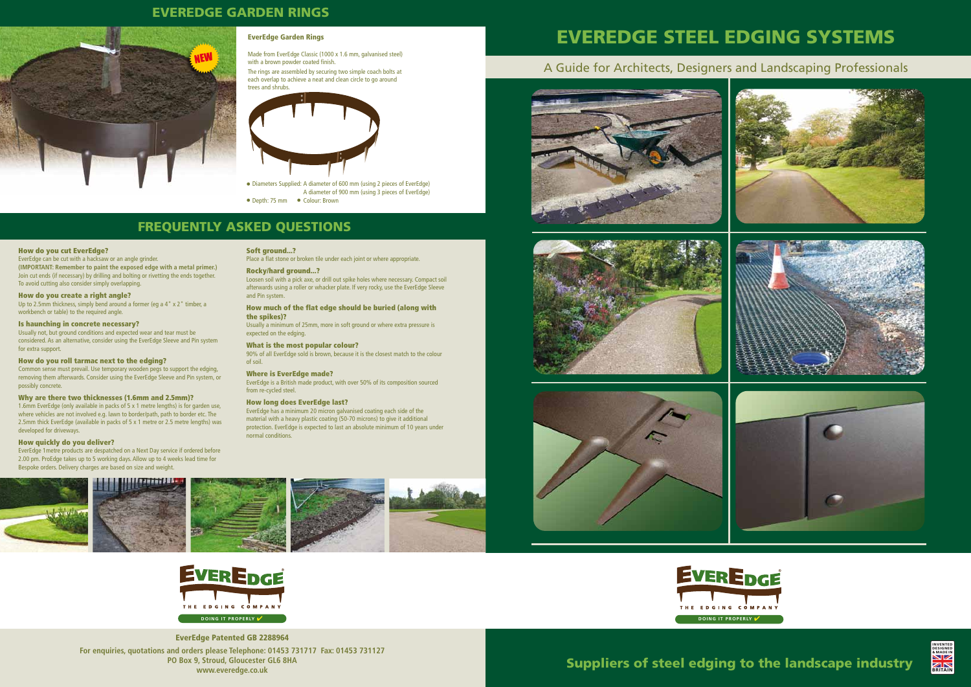# EVEREDGE STEEL EDGING SYSTEMS

# EVEREDGE GARDEN RINGS

## FREQUENTLY ASKED QUESTIONS

### How do you cut EverEdge?

EverEdge can be cut with a hacksaw or an angle grinder. **(IMPORTANT: Remember to paint the exposed edge with a metal primer.)**  Join cut ends (if necessary) by drilling and bolting or rivetting the ends together. To avoid cutting also consider simply overlapping.

Up to 2.5mm thickness, simply bend around a former (eg a 4" x 2" timber, a workbench or table) to the required angle.

### How do you create a right angle?

### Is haunching in concrete necessary?

Usually not, but ground conditions and expected wear and tear must be considered. As an alternative, consider using the EverEdge Sleeve and Pin system for extra support.

### How do you roll tarmac next to the edging?

Common sense must prevail. Use temporary wooden pegs to support the edging, removing them afterwards. Consider using the EverEdge Sleeve and Pin system, or possibly concrete.

### Why are there two thicknesses (1.6mm and 2.5mm)?

1.6mm EverEdge (only available in packs of 5 x 1 metre lengths) is for garden use, where vehicles are not involved e.g. lawn to border/path, path to border etc. The 2.5mm thick EverEdge (available in packs of 5 x 1 metre or 2.5 metre lengths) was developed for driveways.

### How quickly do you deliver?

EverEdge 1metre products are despatched on a Next Day service if ordered before 2.00 pm. ProEdge takes up to 5 working days. Allow up to 4 weeks lead time for Bespoke orders. Delivery charges are based on size and weight.









• Diameters Supplied: A diameter of 600 mm (using 2 pieces of EverEdge) A diameter of 900 mm (using 3 pieces of EverEdge) • Depth: 75 mm • Colour: Brown

Made from EverEdge Classic (1000 x 1.6 mm, galvanised steel) with a brown powder coated finish.

Soft ground...?

Place a flat stone or broken tile under each joint or where appropriate.

Rocky/hard ground...?

Loosen soil with a pick axe, or drill out spike holes where necessary. Compact soil afterwards using a roller or whacker plate. If very rocky, use the EverEdge Sleeve

and Pin system.

How much of the flat edge should be buried (along with

the spikes)?

Usually a minimum of 25mm, more in soft ground or where extra pressure is

expected on the edging.

What is the most popular colour?

90% of all EverEdge sold is brown, because it is the closest match to the colour

of soil.

Where is EverEdge made?

EverEdge is a British made product, with over 50% of its composition sourced

from re-cycled steel.

How long does EverEdge last?

EverEdge has a minimum 20 micron galvanised coating each side of the material with a heavy plastic coating (50-70 microns) to give it additional protection. EverEdge is expected to last an absolute minimum of 10 years under

normal conditions.

**For enquiries, quotations and orders please Telephone: 01453 731717 Fax: 01453 731127 PO Box 9, Stroud, Gloucester GL6 8HA www.everedge.co.uk** EverEdge Patented GB 2288964

# A Guide for Architects, Designers and Landscaping Professionals













### EverEdge Garden Rings

The rings are assembled by securing two simple coach bolts at each overlap to achieve a neat and clean circle to go around trees and shrubs.